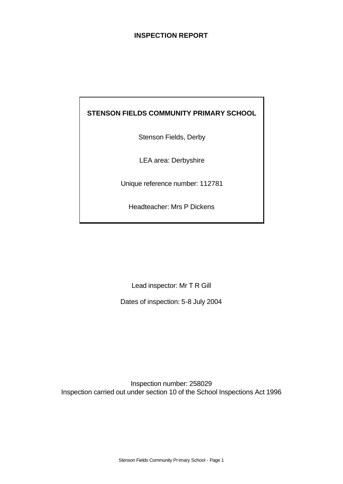## **INSPECTION REPORT**

## **STENSON FIELDS COMMUNITY PRIMARY SCHOOL**

Stenson Fields, Derby

LEA area: Derbyshire

Unique reference number: 112781

Headteacher: Mrs P Dickens

Lead inspector: Mr T R Gill

Dates of inspection: 5-8 July 2004

Inspection number: 258029 Inspection carried out under section 10 of the School Inspections Act 1996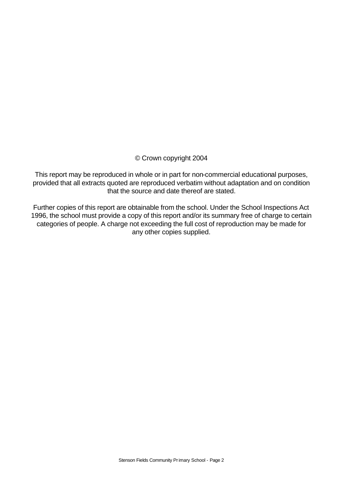#### © Crown copyright 2004

This report may be reproduced in whole or in part for non-commercial educational purposes, provided that all extracts quoted are reproduced verbatim without adaptation and on condition that the source and date thereof are stated.

Further copies of this report are obtainable from the school. Under the School Inspections Act 1996, the school must provide a copy of this report and/or its summary free of charge to certain categories of people. A charge not exceeding the full cost of reproduction may be made for any other copies supplied.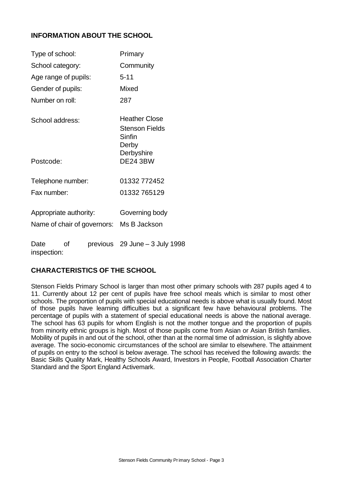## **INFORMATION ABOUT THE SCHOOL**

| Type of school:        |    | Primary                                                          |
|------------------------|----|------------------------------------------------------------------|
| School category:       |    | Community                                                        |
| Age range of pupils:   |    | $5 - 11$                                                         |
| Gender of pupils:      |    | Mixed                                                            |
| Number on roll:        |    | 287                                                              |
| School address:        |    | Heather Close<br>Stenson Fields<br>Sinfin<br>Derby<br>Derbyshire |
| Postcode:              |    | <b>DE24 3BW</b>                                                  |
| Telephone number:      |    | 01332 772452                                                     |
| Fax number:            |    | 01332765129                                                      |
| Appropriate authority: |    | Governing body<br>Name of chair of governors: Ms B Jackson       |
| Date                   | οf | previous 29 June – 3 July 1998                                   |

inspection:

## **CHARACTERISTICS OF THE SCHOOL**

Stenson Fields Primary School is larger than most other primary schools with 287 pupils aged 4 to 11. Currently about 12 per cent of pupils have free school meals which is similar to most other schools. The proportion of pupils with special educational needs is above what is usually found. Most of those pupils have learning difficulties but a significant few have behavioural problems. The percentage of pupils with a statement of special educational needs is above the national average. The school has 63 pupils for whom English is not the mother tongue and the proportion of pupils from minority ethnic groups is high. Most of those pupils come from Asian or Asian British families. Mobility of pupils in and out of the school, other than at the normal time of admission, is slightly above average. The socio-economic circumstances of the school are similar to elsewhere. The attainment of pupils on entry to the school is below average. The school has received the following awards: the Basic Skills Quality Mark, Healthy Schools Award, Investors in People, Football Association Charter Standard and the Sport England Activemark.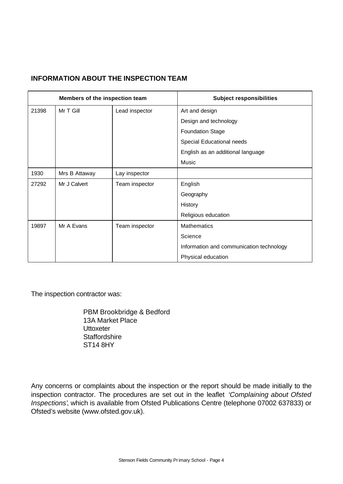## **INFORMATION ABOUT THE INSPECTION TEAM**

|       | Members of the inspection team |                | <b>Subject responsibilities</b>          |
|-------|--------------------------------|----------------|------------------------------------------|
| 21398 | Mr T Gill                      | Lead inspector | Art and design                           |
|       |                                |                | Design and technology                    |
|       |                                |                | <b>Foundation Stage</b>                  |
|       |                                |                | Special Educational needs                |
|       |                                |                | English as an additional language        |
|       |                                |                | Music                                    |
| 1930  | Mrs B Attaway                  | Lay inspector  |                                          |
| 27292 | Mr J Calvert                   | Team inspector | English                                  |
|       |                                |                | Geography                                |
|       |                                |                | History                                  |
|       |                                |                | Religious education                      |
| 19897 | Mr A Evans                     | Team inspector | <b>Mathematics</b>                       |
|       |                                |                | Science                                  |
|       |                                |                | Information and communication technology |
|       |                                |                | Physical education                       |

The inspection contractor was:

PBM Brookbridge & Bedford 13A Market Place **Uttoxeter Staffordshire** ST14 8HY

Any concerns or complaints about the inspection or the report should be made initially to the inspection contractor. The procedures are set out in the leaflet *'Complaining about Ofsted Inspections'*, which is available from Ofsted Publications Centre (telephone 07002 637833) or Ofsted's website (www.ofsted.gov.uk).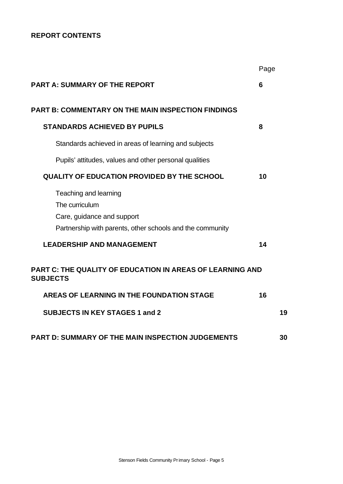## **REPORT CONTENTS**

|                                                                                                                                    | Page |    |
|------------------------------------------------------------------------------------------------------------------------------------|------|----|
| <b>PART A: SUMMARY OF THE REPORT</b>                                                                                               | 6    |    |
| <b>PART B: COMMENTARY ON THE MAIN INSPECTION FINDINGS</b>                                                                          |      |    |
| <b>STANDARDS ACHIEVED BY PUPILS</b>                                                                                                | 8    |    |
| Standards achieved in areas of learning and subjects                                                                               |      |    |
| Pupils' attitudes, values and other personal qualities                                                                             |      |    |
| <b>QUALITY OF EDUCATION PROVIDED BY THE SCHOOL</b>                                                                                 | 10   |    |
| Teaching and learning<br>The curriculum<br>Care, guidance and support<br>Partnership with parents, other schools and the community |      |    |
| <b>LEADERSHIP AND MANAGEMENT</b>                                                                                                   | 14   |    |
| <b>PART C: THE QUALITY OF EDUCATION IN AREAS OF LEARNING AND</b><br><b>SUBJECTS</b>                                                |      |    |
| <b>AREAS OF LEARNING IN THE FOUNDATION STAGE</b>                                                                                   | 16   |    |
| <b>SUBJECTS IN KEY STAGES 1 and 2</b>                                                                                              |      | 19 |
| <b>PART D: SUMMARY OF THE MAIN INSPECTION JUDGEMENTS</b>                                                                           |      | 30 |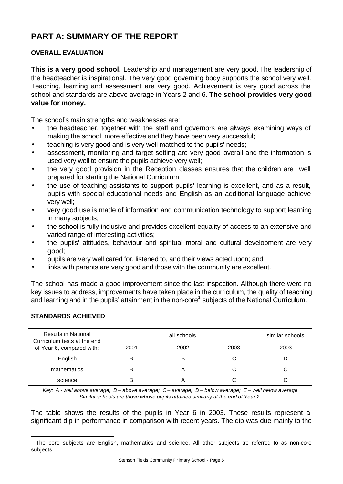# **PART A: SUMMARY OF THE REPORT**

## **OVERALL EVALUATION**

**This is a very good school.** Leadership and management are very good. The leadership of the headteacher is inspirational. The very good governing body supports the school very well. Teaching, learning and assessment are very good. Achievement is very good across the school and standards are above average in Years 2 and 6. **The school provides very good value for money.**

The school's main strengths and weaknesses are:

- the headteacher, together with the staff and governors are always examining ways of making the school more effective and they have been very successful;
- teaching is very good and is very well matched to the pupils' needs;
- assessment, monitoring and target setting are very good overall and the information is used very well to ensure the pupils achieve very well;
- the very good provision in the Reception classes ensures that the children are well prepared for starting the National Curriculum;
- the use of teaching assistants to support pupils' learning is excellent, and as a result, pupils with special educational needs and English as an additional language achieve very well;
- very good use is made of information and communication technology to support learning in many subjects;
- the school is fully inclusive and provides excellent equality of access to an extensive and varied range of interesting activities;
- the pupils' attitudes, behaviour and spiritual moral and cultural development are very good;
- pupils are very well cared for, listened to, and their views acted upon; and
- links with parents are very good and those with the community are excellent.

The school has made a good improvement since the last inspection. Although there were no key issues to address, improvements have taken place in the curriculum, the quality of teaching and learning and in the pupils' attainment in the non-core<sup>1</sup> subjects of the National Curriculum.

#### **STANDARDS ACHIEVED**

l

| <b>Results in National</b><br>Curriculum tests at the end<br>of Year 6, compared with: |      | similar schools |      |      |
|----------------------------------------------------------------------------------------|------|-----------------|------|------|
|                                                                                        | 2001 | 2002            | 2003 | 2003 |
| English                                                                                |      | B               |      |      |
| mathematics                                                                            |      |                 |      |      |
| science                                                                                |      |                 |      |      |

*Key: A - well above average; B – above average; C – average; D – below average; E – well below average Similar schools are those whose pupils attained similarly at the end of Year 2.*

The table shows the results of the pupils in Year 6 in 2003. These results represent a significant dip in performance in comparison with recent years. The dip was due mainly to the

 $1$  The core subjects are English, mathematics and science. All other subjects ae referred to as non-core subjects.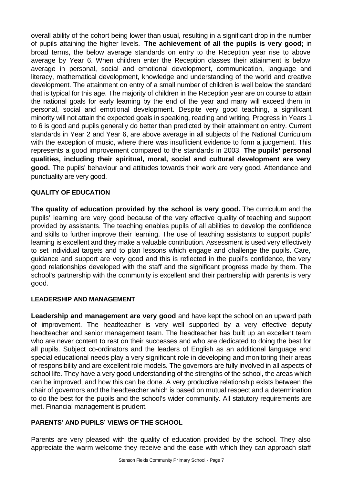overall ability of the cohort being lower than usual, resulting in a significant drop in the number of pupils attaining the higher levels. **The achievement of all the pupils is very good;** in broad terms, the below average standards on entry to the Reception year rise to above average by Year 6. When children enter the Reception classes their attainment is below average in personal, social and emotional development, communication, language and literacy, mathematical development, knowledge and understanding of the world and creative development. The attainment on entry of a small number of children is well below the standard that is typical for this age. The majority of children in the Reception year are on course to attain the national goals for early learning by the end of the year and many will exceed them in personal, social and emotional development. Despite very good teaching, a significant minority will not attain the expected goals in speaking, reading and writing. Progress in Years 1 to 6 is good and pupils generally do better than predicted by their attainment on entry. Current standards in Year 2 and Year 6, are above average in all subjects of the National Curriculum with the exception of music, where there was insufficient evidence to form a judgement. This represents a good improvement compared to the standards in 2003. **The pupils' personal qualities, including their spiritual, moral, social and cultural development are very good.** The pupils' behaviour and attitudes towards their work are very good. Attendance and punctuality are very good.

#### **QUALITY OF EDUCATION**

**The quality of education provided by the school is very good.** The curriculum and the pupils' learning are very good because of the very effective quality of teaching and support provided by assistants. The teaching enables pupils of all abilities to develop the confidence and skills to further improve their learning. The use of teaching assistants to support pupils' learning is excellent and they make a valuable contribution. Assessment is used very effectively to set individual targets and to plan lessons which engage and challenge the pupils. Care, guidance and support are very good and this is reflected in the pupil's confidence, the very good relationships developed with the staff and the significant progress made by them. The school's partnership with the community is excellent and their partnership with parents is very good.

#### **LEADERSHIP AND MANAGEMENT**

**Leadership and management are very good** and have kept the school on an upward path of improvement. The headteacher is very well supported by a very effective deputy headteacher and senior management team. The headteacher has built up an excellent team who are never content to rest on their successes and who are dedicated to doing the best for all pupils. Subject co-ordinators and the leaders of English as an additional language and special educational needs play a very significant role in developing and monitoring their areas of responsibility and are excellent role models. The governors are fully involved in all aspects of school life. They have a very good understanding of the strengths of the school, the areas which can be improved, and how this can be done. A very productive relationship exists between the chair of governors and the headteacher which is based on mutual respect and a determination to do the best for the pupils and the school's wider community. All statutory requirements are met. Financial management is prudent.

#### **PARENTS' AND PUPILS' VIEWS OF THE SCHOOL**

Parents are very pleased with the quality of education provided by the school. They also appreciate the warm welcome they receive and the ease with which they can approach staff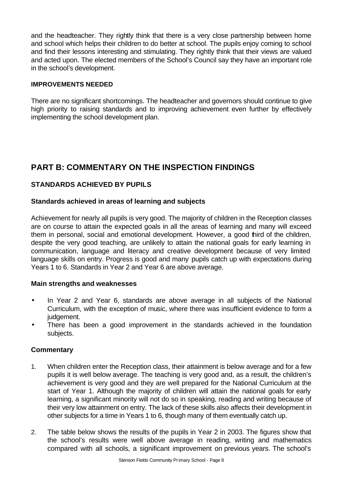and the headteacher. They rightly think that there is a very close partnership between home and school which helps their children to do better at school. The pupils enjoy coming to school and find their lessons interesting and stimulating. They rightly think that their views are valued and acted upon. The elected members of the School's Council say they have an important role in the school's development.

#### **IMPROVEMENTS NEEDED**

There are no significant shortcomings. The headteacher and governors should continue to give high priority to raising standards and to improving achievement even further by effectively implementing the school development plan.

# **PART B: COMMENTARY ON THE INSPECTION FINDINGS**

## **STANDARDS ACHIEVED BY PUPILS**

#### **Standards achieved in areas of learning and subjects**

Achievement for nearly all pupils is very good. The majority of children in the Reception classes are on course to attain the expected goals in all the areas of learning and many will exceed them in personal, social and emotional development. However, a good third of the children, despite the very good teaching, are unlikely to attain the national goals for early learning in communication, language and literacy and creative development because of very limited language skills on entry. Progress is good and many pupils catch up with expectations during Years 1 to 6. Standards in Year 2 and Year 6 are above average.

#### **Main strengths and weaknesses**

- In Year 2 and Year 6, standards are above average in all subjects of the National Curriculum, with the exception of music, where there was insufficient evidence to form a judgement.
- There has been a good improvement in the standards achieved in the foundation subjects.

- 1. When children enter the Reception class, their attainment is below average and for a few pupils it is well below average. The teaching is very good and, as a result, the children's achievement is very good and they are well prepared for the National Curriculum at the start of Year 1. Although the majority of children will attain the national goals for early learning, a significant minority will not do so in speaking, reading and writing because of their very low attainment on entry. The lack of these skills also affects their development in other subjects for a time in Years 1 to 6, though many of them eventually catch up.
- 2. The table below shows the results of the pupils in Year 2 in 2003. The figures show that the school's results were well above average in reading, writing and mathematics compared with all schools, a significant improvement on previous years. The school's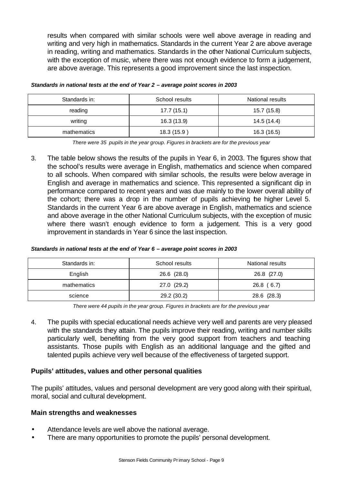results when compared with similar schools were well above average in reading and writing and very high in mathematics. Standards in the current Year 2 are above average in reading, writing and mathematics. Standards in the other National Curriculum subjects, with the exception of music, where there was not enough evidence to form a judgement, are above average. This represents a good improvement since the last inspection.

| Standards in: | School results | National results |  |  |
|---------------|----------------|------------------|--|--|
| reading       | 17.7(15.1)     | 15.7 (15.8)      |  |  |
| writing       | 16.3(13.9)     | 14.5 (14.4)      |  |  |
| mathematics   | 18.3 (15.9)    | 16.3 (16.5)      |  |  |

*Standards in national tests at the end of Year 2 – average point scores in 2003*

*There were 35 pupils in the year group. Figures in brackets are for the previous year* 

3. The table below shows the results of the pupils in Year 6, in 2003. The figures show that the school's results were average in English, mathematics and science when compared to all schools. When compared with similar schools, the results were below average in English and average in mathematics and science. This represented a significant dip in performance compared to recent years and was due mainly to the lower overall ability of the cohort; there was a drop in the number of pupils achieving he higher Level 5. Standards in the current Year 6 are above average in English, mathematics and science and above average in the other National Curriculum subjects, with the exception of music where there wasn't enough evidence to form a judgement. This is a very good improvement in standards in Year 6 since the last inspection.

| Standards in national tests at the end of Year 6 - average point scores in 2003 |  |  |  |  |  |
|---------------------------------------------------------------------------------|--|--|--|--|--|
|                                                                                 |  |  |  |  |  |

| Standards in: | School results | National results |
|---------------|----------------|------------------|
| English       | 26.6 (28.0)    | 26.8 (27.0)      |
| mathematics   | 27.0 (29.2)    | 26.8(6.7)        |
| science       | 29.2 (30.2)    | 28.6 (28.3)      |

*There were 44 pupils in the year group. Figures in brackets are for the previous year*

4. The pupils with special educational needs achieve very well and parents are very pleased with the standards they attain. The pupils improve their reading, writing and number skills particularly well, benefiting from the very good support from teachers and teaching assistants. Those pupils with English as an additional language and the gifted and talented pupils achieve very well because of the effectiveness of targeted support.

#### **Pupils' attitudes, values and other personal qualities**

The pupils' attitudes, values and personal development are very good along with their spiritual, moral, social and cultural development.

#### **Main strengths and weaknesses**

- Attendance levels are well above the national average.
- There are many opportunities to promote the pupils' personal development.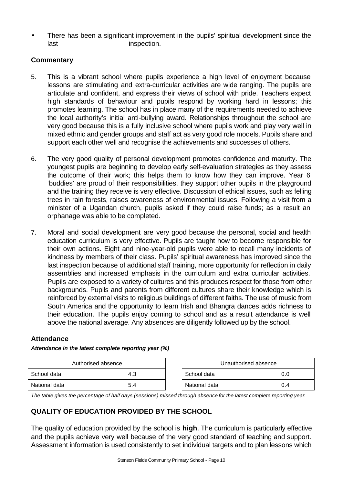• There has been a significant improvement in the pupils' spiritual development since the last inspection.

## **Commentary**

- 5. This is a vibrant school where pupils experience a high level of enjoyment because lessons are stimulating and extra-curricular activities are wide ranging. The pupils are articulate and confident, and express their views of school with pride. Teachers expect high standards of behaviour and pupils respond by working hard in lessons; this promotes learning. The school has in place many of the requirements needed to achieve the local authority's initial anti-bullying award. Relationships throughout the school are very good because this is a fully inclusive school where pupils work and play very well in mixed ethnic and gender groups and staff act as very good role models. Pupils share and support each other well and recognise the achievements and successes of others.
- 6. The very good quality of personal development promotes confidence and maturity. The youngest pupils are beginning to develop early self-evaluation strategies as they assess the outcome of their work; this helps them to know how they can improve. Year 6 'buddies' are proud of their responsibilities, they support other pupils in the playground and the training they receive is very effective. Discussion of ethical issues, such as felling trees in rain forests, raises awareness of environmental issues. Following a visit from a minister of a Ugandan church, pupils asked if they could raise funds; as a result an orphanage was able to be completed.
- 7. Moral and social development are very good because the personal, social and health education curriculum is very effective. Pupils are taught how to become responsible for their own actions. Eight and nine-year-old pupils were able to recall many incidents of kindness by members of their class. Pupils' spiritual awareness has improved since the last inspection because of additional staff training, more opportunity for reflection in daily assemblies and increased emphasis in the curriculum and extra curricular activities. Pupils are exposed to a variety of cultures and this produces respect for those from other backgrounds. Pupils and parents from different cultures share their knowledge which is reinforced by external visits to religious buildings of different faiths. The use of music from South America and the opportunity to learn Irish and Bhangra dances adds richness to their education. The pupils enjoy coming to school and as a result attendance is well above the national average. Any absences are diligently followed up by the school.

#### **Attendance**

#### *Attendance in the latest complete reporting year (%)*

| Authorised absence |     | Unauthorised absence |     |
|--------------------|-----|----------------------|-----|
| School data        | 4.3 | School data          | 0.0 |
| National data      | 5.4 | National data        | 0.4 |

| Unauthorised absence |     |  |  |
|----------------------|-----|--|--|
| School data<br>ი ი   |     |  |  |
| National data        | በ 4 |  |  |

*The table gives the percentage of half days (sessions) missed through absence for the latest complete reporting year.*

## **QUALITY OF EDUCATION PROVIDED BY THE SCHOOL**

The quality of education provided by the school is **high**. The curriculum is particularly effective and the pupils achieve very well because of the very good standard of teaching and support. Assessment information is used consistently to set individual targets and to plan lessons which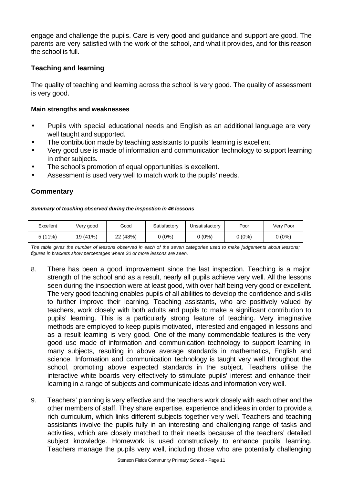engage and challenge the pupils. Care is very good and guidance and support are good. The parents are very satisfied with the work of the school, and what it provides, and for this reason the school is full.

## **Teaching and learning**

The quality of teaching and learning across the school is very good. The quality of assessment is very good.

#### **Main strengths and weaknesses**

- Pupils with special educational needs and English as an additional language are very well taught and supported.
- The contribution made by teaching assistants to pupils' learning is excellent.
- Very good use is made of information and communication technology to support learning in other subjects.
- The school's promotion of equal opportunities is excellent.
- Assessment is used very well to match work to the pupils' needs.

## **Commentary**

#### *Summary of teaching observed during the inspection in 46 lessons*

| Excellent | Very good | Good     | Satisfactory | Poor<br>Unsatisfactory |       | Very Poor |
|-----------|-----------|----------|--------------|------------------------|-------|-----------|
| 5(11%)    | 19 (41%)  | 22 (48%) | ს (0%)       | $0(0\%)$               | 0%) ( | 0 (0%)    |

*The table gives the number of lessons observed in each of the seven categories used to make judgements about lessons; figures in brackets show percentages where 30 or more lessons are seen.*

- 8. There has been a good improvement since the last inspection. Teaching is a major strength of the school and as a result, nearly all pupils achieve very well. All the lessons seen during the inspection were at least good, with over half being very good or excellent. The very good teaching enables pupils of all abilities to develop the confidence and skills to further improve their learning. Teaching assistants, who are positively valued by teachers, work closely with both adults and pupils to make a significant contribution to pupils' learning. This is a particularly strong feature of teaching. Very imaginative methods are employed to keep pupils motivated, interested and engaged in lessons and as a result learning is very good. One of the many commendable features is the very good use made of information and communication technology to support learning in many subjects, resulting in above average standards in mathematics, English and science. Information and communication technology is taught very well throughout the school, promoting above expected standards in the subject. Teachers utilise the interactive white boards very effectively to stimulate pupils' interest and enhance their learning in a range of subjects and communicate ideas and information very well.
- 9. Teachers' planning is very effective and the teachers work closely with each other and the other members of staff. They share expertise, experience and ideas in order to provide a rich curriculum, which links different subjects together very well. Teachers and teaching assistants involve the pupils fully in an interesting and challenging range of tasks and activities, which are closely matched to their needs because of the teachers' detailed subject knowledge. Homework is used constructively to enhance pupils' learning. Teachers manage the pupils very well, including those who are potentially challenging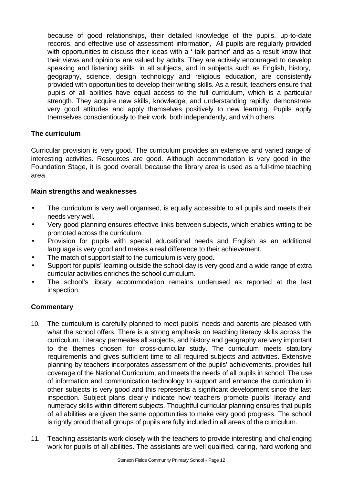because of good relationships, their detailed knowledge of the pupils, up-to-date records, and effective use of assessment information, All pupils are regularly provided with opportunities to discuss their ideas with a ' talk partner' and as a result know that their views and opinions are valued by adults. They are actively encouraged to develop speaking and listening skills in all subjects, and in subjects such as English, history, geography, science, design technology and religious education, are consistently provided with opportunities to develop their writing skills. As a result, teachers ensure that pupils of all abilities have equal access to the full curriculum, which is a particular strength. They acquire new skills, knowledge, and understanding rapidly, demonstrate very good attitudes and apply themselves positively to new learning. Pupils apply themselves conscientiously to their work, both independently, and with others.

## **The curriculum**

Curricular provision is very good. The curriculum provides an extensive and varied range of interesting activities. Resources are good. Although accommodation is very good in the Foundation Stage, it is good overall, because the library area is used as a full-time teaching area.

## **Main strengths and weaknesses**

- The curriculum is very well organised, is equally accessible to all pupils and meets their needs very well.
- Very good planning ensures effective links between subjects, which enables writing to be promoted across the curriculum.
- Provision for pupils with special educational needs and English as an additional language is very good and makes a real difference to their achievement.
- The match of support staff to the curriculum is very good.
- Support for pupils' learning outside the school day is very good and a wide range of extra curricular activities enriches the school curriculum.
- The school's library accommodation remains underused as reported at the last inspection.

- 10. The curriculum is carefully planned to meet pupils' needs and parents are pleased with what the school offers. There is a strong emphasis on teaching literacy skills across the curriculum. Literacy permeates all subjects, and history and geography are very important to the themes chosen for cross-curricular study. The curriculum meets statutory requirements and gives sufficient time to all required subjects and activities. Extensive planning by teachers incorporates assessment of the pupils' achievements, provides full coverage of the National Curriculum, and meets the needs of all pupils in school. The use of information and communication technology to support and enhance the curriculum in other subjects is very good and this represents a significant development since the last inspection. Subject plans clearly indicate how teachers promote pupils' literacy and numeracy skills within different subjects. Thoughtful curricular planning ensures that pupils of all abilities are given the same opportunities to make very good progress. The school is rightly proud that all groups of pupils are fully included in all areas of the curriculum.
- 11. Teaching assistants work closely with the teachers to provide interesting and challenging work for pupils of all abilities. The assistants are well qualified, caring, hard working and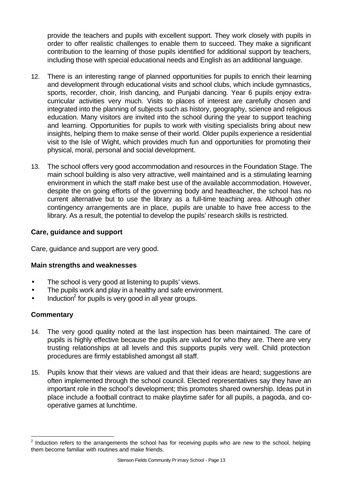provide the teachers and pupils with excellent support. They work closely with pupils in order to offer realistic challenges to enable them to succeed. They make a significant contribution to the learning of those pupils identified for additional support by teachers, including those with special educational needs and English as an additional language.

- 12. There is an interesting range of planned opportunities for pupils to enrich their learning and development through educational visits and school clubs, which include gymnastics, sports, recorder, choir, Irish dancing, and Punjabi dancing. Year 6 pupils enjoy extracurricular activities very much. Visits to places of interest are carefully chosen and integrated into the planning of subjects such as history, geography, science and religious education. Many visitors are invited into the school during the year to support teaching and learning. Opportunities for pupils to work with visiting specialists bring about new insights, helping them to make sense of their world. Older pupils experience a residential visit to the Isle of Wight, which provides much fun and opportunities for promoting their physical, moral, personal and social development.
- 13. The school offers very good accommodation and resources in the Foundation Stage. The main school building is also very attractive, well maintained and is a stimulating learning environment in which the staff make best use of the available accommodation. However, despite the on going efforts of the governing body and headteacher, the school has no current alternative but to use the library as a full-time teaching area. Although other contingency arrangements are in place, pupils are unable to have free access to the library. As a result, the potential to develop the pupils' research skills is restricted.

#### **Care, guidance and support**

Care, guidance and support are very good.

#### **Main strengths and weaknesses**

- The school is very good at listening to pupils' views.
- The pupils work and play in a healthy and safe environment.
- $\bullet$  Induction<sup>2</sup> for pupils is very good in all year groups.

#### **Commentary**

l

- 14. The very good quality noted at the last inspection has been maintained. The care of pupils is highly effective because the pupils are valued for who they are. There are very trusting relationships at all levels and this supports pupils very well. Child protection procedures are firmly established amongst all staff.
- 15. Pupils know that their views are valued and that their ideas are heard; suggestions are often implemented through the school council. Elected representatives say they have an important role in the school's development; this promotes shared ownership. Ideas put in place include a football contract to make playtime safer for all pupils, a pagoda, and cooperative games at lunchtime.

 $2$  Induction refers to the arrangements the school has for receiving pupils who are new to the school, helping them become familiar with routines and make friends.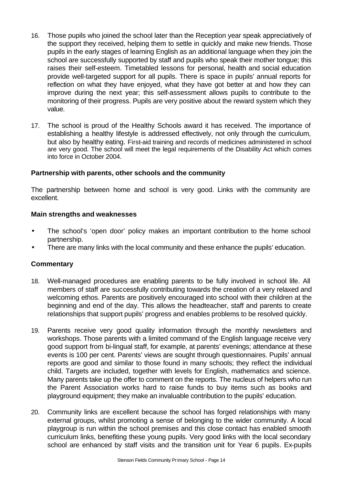- 16. Those pupils who joined the school later than the Reception year speak appreciatively of the support they received, helping them to settle in quickly and make new friends. Those pupils in the early stages of learning English as an additional language when they join the school are successfully supported by staff and pupils who speak their mother tongue; this raises their self-esteem. Timetabled lessons for personal, health and social education provide well-targeted support for all pupils. There is space in pupils' annual reports for reflection on what they have enjoyed, what they have got better at and how they can improve during the next year; this self-assessment allows pupils to contribute to the monitoring of their progress. Pupils are very positive about the reward system which they value.
- 17. The school is proud of the Healthy Schools award it has received. The importance of establishing a healthy lifestyle is addressed effectively, not only through the curriculum, but also by healthy eating. First-aid training and records of medicines administered in school are very good. The school will meet the legal requirements of the Disability Act which comes into force in October 2004.

#### **Partnership with parents, other schools and the community**

The partnership between home and school is very good. Links with the community are excellent.

#### **Main strengths and weaknesses**

- The school's 'open door' policy makes an important contribution to the home school partnership.
- There are many links with the local community and these enhance the pupils' education.

- 18. Well-managed procedures are enabling parents to be fully involved in school life. All members of staff are successfully contributing towards the creation of a very relaxed and welcoming ethos. Parents are positively encouraged into school with their children at the beginning and end of the day. This allows the headteacher, staff and parents to create relationships that support pupils' progress and enables problems to be resolved quickly.
- 19. Parents receive very good quality information through the monthly newsletters and workshops. Those parents with a limited command of the English language receive very good support from bi-lingual staff, for example, at parents' evenings; attendance at these events is 100 per cent. Parents' views are sought through questionnaires. Pupils' annual reports are good and similar to those found in many schools; they reflect the individual child. Targets are included, together with levels for English, mathematics and science. Many parents take up the offer to comment on the reports. The nucleus of helpers who run the Parent Association works hard to raise funds to buy items such as books and playground equipment; they make an invaluable contribution to the pupils' education.
- 20. Community links are excellent because the school has forged relationships with many external groups, whilst promoting a sense of belonging to the wider community. A local playgroup is run within the school premises and this close contact has enabled smooth curriculum links, benefiting these young pupils. Very good links with the local secondary school are enhanced by staff visits and the transition unit for Year 6 pupils. Ex-pupils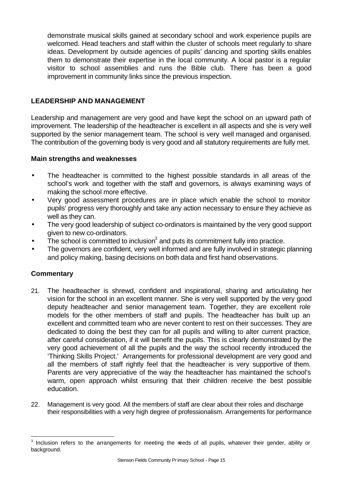demonstrate musical skills gained at secondary school and work experience pupils are welcomed. Head teachers and staff within the cluster of schools meet regularly to share ideas. Development by outside agencies of pupils' dancing and sporting skills enables them to demonstrate their expertise in the local community. A local pastor is a regular visitor to school assemblies and runs the Bible club. There has been a good improvement in community links since the previous inspection.

## **LEADERSHIP AND MANAGEMENT**

Leadership and management are very good and have kept the school on an upward path of improvement. The leadership of the headteacher is excellent in all aspects and she is very well supported by the senior management team. The school is very well managed and organised. The contribution of the governing body is very good and all statutory requirements are fully met.

#### **Main strengths and weaknesses**

- The headteacher is committed to the highest possible standards in all areas of the school's work and together with the staff and governors, is always examining ways of making the school more effective.
- Very good assessment procedures are in place which enable the school to monitor pupils' progress very thoroughly and take any action necessary to ensure they achieve as well as they can.
- The very good leadership of subject co-ordinators is maintained by the very good support given to new co-ordinators.
- $\bullet$  The school is committed to inclusion<sup>3</sup> and puts its commitment fully into practice.
- The governors are confident, very well informed and are fully involved in strategic planning and policy making, basing decisions on both data and first hand observations.

#### **Commentary**

l

- 21. The headteacher is shrewd, confident and inspirational, sharing and articulating her vision for the school in an excellent manner. She is very well supported by the very good deputy headteacher and senior management team. Together, they are excellent role models for the other members of staff and pupils. The headteacher has built up an excellent and committed team who are never content to rest on their successes. They are dedicated to doing the best they can for all pupils and willing to alter current practice, after careful consideration, if it will benefit the pupils. This is clearly demonstrated by the very good achievement of all the pupils and the way the school recently introduced the 'Thinking Skills Project.' Arrangements for professional development are very good and all the members of staff rightly feel that the headteacher is very supportive of them. Parents are very appreciative of the way the headteacher has maintained the school's warm, open approach whilst ensuring that their children receive the best possible education.
- 22. Management is very good. All the members of staff are clear about their roles and discharge their responsibilities with a very high degree of professionalism. Arrangements for performance

 $3$  Inclusion refers to the arrangements for meeting the reeds of all pupils, whatever their gender, ability or background.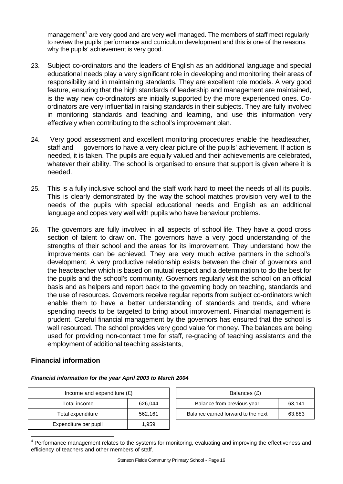management<sup>4</sup> are very good and are very well managed. The members of staff meet regularly to review the pupils' performance and curriculum development and this is one of the reasons why the pupils' achievement is very good.

- 23. Subject co-ordinators and the leaders of English as an additional language and special educational needs play a very significant role in developing and monitoring their areas of responsibility and in maintaining standards. They are excellent role models. A very good feature, ensuring that the high standards of leadership and management are maintained, is the way new co-ordinators are initially supported by the more experienced ones. Coordinators are very influential in raising standards in their subjects. They are fully involved in monitoring standards and teaching and learning, and use this information very effectively when contributing to the school's improvement plan.
- 24. Very good assessment and excellent monitoring procedures enable the headteacher, staff and governors to have a very clear picture of the pupils' achievement. If action is needed, it is taken. The pupils are equally valued and their achievements are celebrated, whatever their ability. The school is organised to ensure that support is given where it is needed.
- 25. This is a fully inclusive school and the staff work hard to meet the needs of all its pupils. This is clearly demonstrated by the way the school matches provision very well to the needs of the pupils with special educational needs and English as an additional language and copes very well with pupils who have behaviour problems.
- 26. The governors are fully involved in all aspects of school life. They have a good cross section of talent to draw on. The governors have a very good understanding of the strengths of their school and the areas for its improvement. They understand how the improvements can be achieved. They are very much active partners in the school's development. A very productive relationship exists between the chair of governors and the headteacher which is based on mutual respect and a determination to do the best for the pupils and the school's community. Governors regularly visit the school on an official basis and as helpers and report back to the governing body on teaching, standards and the use of resources. Governors receive regular reports from subject co-ordinators which enable them to have a better understanding of standards and trends, and where spending needs to be targeted to bring about improvement. Financial management is prudent. Careful financial management by the governors has ensured that the school is well resourced. The school provides very good value for money. The balances are being used for providing non-contact time for staff, re-grading of teaching assistants and the employment of additional teaching assistants,

#### **Financial information**

l

| Income and expenditure $(E)$ | Balances (£) |                                   |
|------------------------------|--------------|-----------------------------------|
| Total income                 | 626,044      | Balance from previous year        |
| Total expenditure            | 562,161      | Balance carried forward to the no |
| Expenditure per pupil        | 1.959        |                                   |

| Income and expenditure $(E)$ |         | Balances (£)                         |        |  |  |
|------------------------------|---------|--------------------------------------|--------|--|--|
| Total income                 | 626.044 | Balance from previous year<br>63.141 |        |  |  |
| Total expenditure            | 562,161 | Balance carried forward to the next  | 63,883 |  |  |

#### *Financial information for the year April 2003 to March 2004*

<sup>&</sup>lt;sup>4</sup> Performance management relates to the systems for monitoring, evaluating and improving the effectiveness and efficiency of teachers and other members of staff.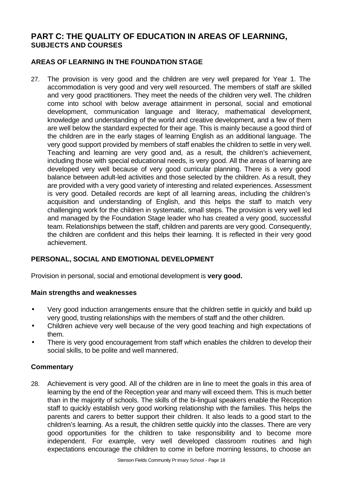## **PART C: THE QUALITY OF EDUCATION IN AREAS OF LEARNING, SUBJECTS AND COURSES**

## **AREAS OF LEARNING IN THE FOUNDATION STAGE**

27. The provision is very good and the children are very well prepared for Year 1. The accommodation is very good and very well resourced. The members of staff are skilled and very good practitioners. They meet the needs of the children very well. The children come into school with below average attainment in personal, social and emotional development, communication language and literacy, mathematical development, knowledge and understanding of the world and creative development, and a few of them are well below the standard expected for their age. This is mainly because a good third of the children are in the early stages of learning English as an additional language. The very good support provided by members of staff enables the children to settle in very well. Teaching and learning are very good and, as a result, the children's achievement, including those with special educational needs, is very good. All the areas of learning are developed very well because of very good curricular planning. There is a very good balance between adult-led activities and those selected by the children. As a result, they are provided with a very good variety of interesting and related experiences. Assessment is very good. Detailed records are kept of all learning areas, including the children's acquisition and understanding of English, and this helps the staff to match very challenging work for the children in systematic, small steps. The provision is very well led and managed by the Foundation Stage leader who has created a very good, successful team. Relationships between the staff, children and parents are very good. Consequently, the children are confident and this helps their learning. It is reflected in their very good achievement.

#### **PERSONAL, SOCIAL AND EMOTIONAL DEVELOPMENT**

Provision in personal, social and emotional development is **very good.** 

#### **Main strengths and weaknesses**

- Very good induction arrangements ensure that the children settle in quickly and build up very good, trusting relationships with the members of staff and the other children.
- Children achieve very well because of the very good teaching and high expectations of them.
- There is very good encouragement from staff which enables the children to develop their social skills, to be polite and well mannered.

#### **Commentary**

28. Achievement is very good. All of the children are in line to meet the goals in this area of learning by the end of the Reception year and many will exceed them. This is much better than in the majority of schools. The skills of the bi-lingual speakers enable the Reception staff to quickly establish very good working relationship with the families. This helps the parents and carers to better support their children. It also leads to a good start to the children's learning. As a result, the children settle quickly into the classes. There are very good opportunities for the children to take responsibility and to become more independent. For example, very well developed classroom routines and high expectations encourage the children to come in before morning lessons, to choose an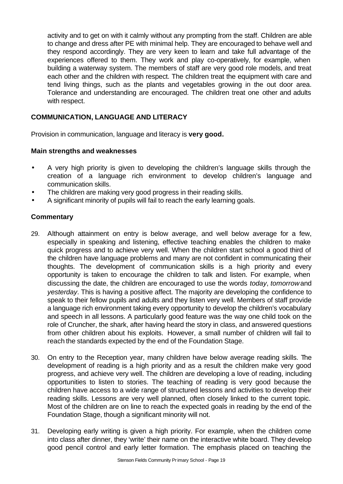activity and to get on with it calmly without any prompting from the staff. Children are able to change and dress after PE with minimal help. They are encouraged to behave well and they respond accordingly. They are very keen to learn and take full advantage of the experiences offered to them. They work and play co-operatively, for example, when building a waterway system. The members of staff are very good role models, and treat each other and the children with respect. The children treat the equipment with care and tend living things, such as the plants and vegetables growing in the out door area. Tolerance and understanding are encouraged. The children treat one other and adults with respect.

## **COMMUNICATION, LANGUAGE AND LITERACY**

Provision in communication, language and literacy is **very good.**

#### **Main strengths and weaknesses**

- A very high priority is given to developing the children's language skills through the creation of a language rich environment to develop children's language and communication skills.
- The children are making very good progress in their reading skills.
- A significant minority of pupils will fail to reach the early learning goals.

- 29. Although attainment on entry is below average, and well below average for a few, especially in speaking and listening, effective teaching enables the children to make quick progress and to achieve very well. When the children start school a good third of the children have language problems and many are not confident in communicating their thoughts. The development of communication skills is a high priority and every opportunity is taken to encourage the children to talk and listen. For example, when discussing the date, the children are encouraged to use the words *today*, *tomorrow* and *yesterday*. This is having a positive affect. The majority are developing the confidence to speak to their fellow pupils and adults and they listen very well. Members of staff provide a language rich environment taking every opportunity to develop the children's vocabulary and speech in all lessons. A particularly good feature was the way one child took on the role of Cruncher, the shark, after having heard the story in class, and answered questions from other children about his exploits. However, a small number of children will fail to reach the standards expected by the end of the Foundation Stage.
- 30. On entry to the Reception year, many children have below average reading skills. The development of reading is a high priority and as a result the children make very good progress, and achieve very well. The children are developing a love of reading, including opportunities to listen to stories. The teaching of reading is very good because the children have access to a wide range of structured lessons and activities to develop their reading skills. Lessons are very well planned, often closely linked to the current topic. Most of the children are on line to reach the expected goals in reading by the end of the Foundation Stage, though a significant minority will not.
- 31. Developing early writing is given a high priority. For example, when the children come into class after dinner, they 'write' their name on the interactive white board. They develop good pencil control and early letter formation. The emphasis placed on teaching the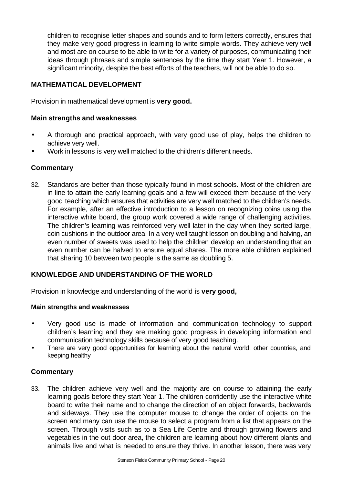children to recognise letter shapes and sounds and to form letters correctly, ensures that they make very good progress in learning to write simple words. They achieve very well and most are on course to be able to write for a variety of purposes, communicating their ideas through phrases and simple sentences by the time they start Year 1. However, a significant minority, despite the best efforts of the teachers, will not be able to do so.

#### **MATHEMATICAL DEVELOPMENT**

Provision in mathematical development is **very good.**

#### **Main strengths and weaknesses**

- A thorough and practical approach, with very good use of play, helps the children to achieve very well.
- Work in lessons is very well matched to the children's different needs.

#### **Commentary**

32. Standards are better than those typically found in most schools. Most of the children are in line to attain the early learning goals and a few will exceed them because of the very good teaching which ensures that activities are very well matched to the children's needs. For example, after an effective introduction to a lesson on recognizing coins using the interactive white board, the group work covered a wide range of challenging activities. The children's learning was reinforced very well later in the day when they sorted large, coin cushions in the outdoor area. In a very well taught lesson on doubling and halving, an even number of sweets was used to help the children develop an understanding that an even number can be halved to ensure equal shares. The more able children explained that sharing 10 between two people is the same as doubling 5.

#### **KNOWLEDGE AND UNDERSTANDING OF THE WORLD**

Provision in knowledge and understanding of the world is **very good,**

#### **Main strengths and weaknesses**

- Very good use is made of information and communication technology to support children's learning and they are making good progress in developing information and communication technology skills because of very good teaching.
- There are very good opportunities for learning about the natural world, other countries, and keeping healthy

#### **Commentary**

33. The children achieve very well and the majority are on course to attaining the early learning goals before they start Year 1. The children confidently use the interactive white board to write their name and to change the direction of an object forwards, backwards and sideways. They use the computer mouse to change the order of objects on the screen and many can use the mouse to select a program from a list that appears on the screen. Through visits such as to a Sea Life Centre and through growing flowers and vegetables in the out door area, the children are learning about how different plants and animals live and what is needed to ensure they thrive. In another lesson, there was very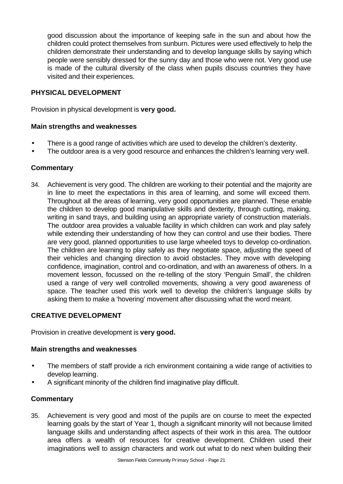good discussion about the importance of keeping safe in the sun and about how the children could protect themselves from sunburn. Pictures were used effectively to help the children demonstrate their understanding and to develop language skills by saying which people were sensibly dressed for the sunny day and those who were not. Very good use is made of the cultural diversity of the class when pupils discuss countries they have visited and their experiences.

#### **PHYSICAL DEVELOPMENT**

Provision in physical development is **very good.**

#### **Main strengths and weaknesses**

- There is a good range of activities which are used to develop the children's dexterity.
- The outdoor area is a very good resource and enhances the children's learning very well.

#### **Commentary**

34. Achievement is very good. The children are working to their potential and the majority are in line to meet the expectations in this area of learning, and some will exceed them. Throughout all the areas of learning, very good opportunities are planned. These enable the children to develop good manipulative skills and dexterity, through cutting, making, writing in sand trays, and building using an appropriate variety of construction materials. The outdoor area provides a valuable facility in which children can work and play safely while extending their understanding of how they can control and use their bodies. There are very good, planned opportunities to use large wheeled toys to develop co-ordination. The children are learning to play safely as they negotiate space, adjusting the speed of their vehicles and changing direction to avoid obstacles. They move with developing confidence, imagination, control and co-ordination, and with an awareness of others. In a movement lesson, focussed on the re-telling of the story 'Penguin Small', the children used a range of very well controlled movements, showing a very good awareness of space. The teacher used this work well to develop the children's language skills by asking them to make a 'hovering' movement after discussing what the word meant.

#### **CREATIVE DEVELOPMENT**

Provision in creative development is **very good.**

#### **Main strengths and weaknesses**

- The members of staff provide a rich environment containing a wide range of activities to develop learning.
- A significant minority of the children find imaginative play difficult.

## **Commentary**

35. Achievement is very good and most of the pupils are on course to meet the expected learning goals by the start of Year 1, though a significant minority will not because limited language skills and understanding affect aspects of their work in this area. The outdoor area offers a wealth of resources for creative development. Children used their imaginations well to assign characters and work out what to do next when building their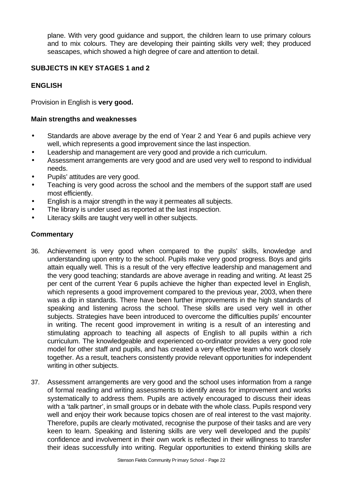plane. With very good guidance and support, the children learn to use primary colours and to mix colours. They are developing their painting skills very well; they produced seascapes, which showed a high degree of care and attention to detail.

## **SUBJECTS IN KEY STAGES 1 and 2**

## **ENGLISH**

Provision in English is **very good.** 

#### **Main strengths and weaknesses**

- Standards are above average by the end of Year 2 and Year 6 and pupils achieve very well, which represents a good improvement since the last inspection.
- Leadership and management are very good and provide a rich curriculum.
- Assessment arrangements are very good and are used very well to respond to individual needs.
- Pupils' attitudes are very good.
- Teaching is very good across the school and the members of the support staff are used most efficiently.
- English is a major strength in the way it permeates all subjects.
- The library is under used as reported at the last inspection.
- Literacy skills are taught very well in other subjects.

- 36. Achievement is very good when compared to the pupils' skills, knowledge and understanding upon entry to the school. Pupils make very good progress. Boys and girls attain equally well. This is a result of the very effective leadership and management and the very good teaching; standards are above average in reading and writing. At least 25 per cent of the current Year 6 pupils achieve the higher than expected level in English, which represents a good improvement compared to the previous year, 2003, when there was a dip in standards. There have been further improvements in the high standards of speaking and listening across the school. These skills are used very well in other subjects. Strategies have been introduced to overcome the difficulties pupils' encounter in writing. The recent good improvement in writing is a result of an interesting and stimulating approach to teaching all aspects of English to all pupils within a rich curriculum. The knowledgeable and experienced co-ordinator provides a very good role model for other staff and pupils, and has created a very effective team who work closely together. As a result, teachers consistently provide relevant opportunities for independent writing in other subjects.
- 37. Assessment arrangements are very good and the school uses information from a range of formal reading and writing assessments to identify areas for improvement and works systematically to address them. Pupils are actively encouraged to discuss their ideas with a 'talk partner', in small groups or in debate with the whole class. Pupils respond very well and enjoy their work because topics chosen are of real interest to the vast majority. Therefore, pupils are clearly motivated, recognise the purpose of their tasks and are very keen to learn. Speaking and listening skills are very well developed and the pupils' confidence and involvement in their own work is reflected in their willingness to transfer their ideas successfully into writing. Regular opportunities to extend thinking skills are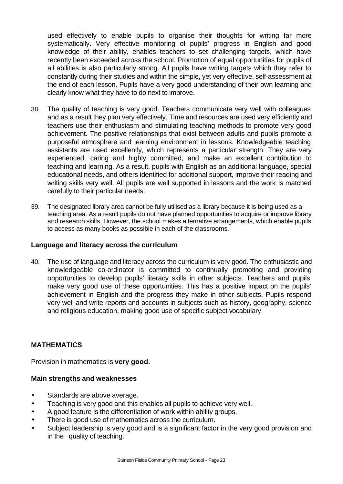used effectively to enable pupils to organise their thoughts for writing far more systematically. Very effective monitoring of pupils' progress in English and good knowledge of their ability, enables teachers to set challenging targets, which have recently been exceeded across the school. Promotion of equal opportunities for pupils of all abilities is also particularly strong. All pupils have writing targets which they refer to constantly during their studies and within the simple, yet very effective, self-assessment at the end of each lesson. Pupils have a very good understanding of their own learning and clearly know what they have to do next to improve.

- 38. The quality of teaching is very good. Teachers communicate very well with colleagues and as a result they plan very effectively. Time and resources are used very efficiently and teachers use their enthusiasm and stimulating teaching methods to promote very good achievement. The positive relationships that exist between adults and pupils promote a purposeful atmosphere and learning environment in lessons. Knowledgeable teaching assistants are used excellently, which represents a particular strength. They are very experienced, caring and highly committed, and make an excellent contribution to teaching and learning. As a result, pupils with English as an additional language, special educational needs, and others identified for additional support, improve their reading and writing skills very well. All pupils are well supported in lessons and the work is matched carefully to their particular needs.
- 39. The designated library area cannot be fully utilised as a library because it is being used as a teaching area. As a result pupils do not have planned opportunities to acquire or improve library and research skills. However, the school makes alternative arrangements, which enable pupils to access as many books as possible in each of the classrooms.

#### **Language and literacy across the curriculum**

40. The use of language and literacy across the curriculum is very good. The enthusiastic and knowledgeable co-ordinator is committed to continually promoting and providing opportunities to develop pupils' literacy skills in other subjects. Teachers and pupils make very good use of these opportunities. This has a positive impact on the pupils' achievement in English and the progress they make in other subjects. Pupils respond very well and write reports and accounts in subjects such as history, geography, science and religious education, making good use of specific subject vocabulary.

#### **MATHEMATICS**

Provision in mathematics is **very good.**

#### **Main strengths and weaknesses**

- Standards are above average.
- Teaching is very good and this enables all pupils to achieve very well.
- A good feature is the differentiation of work within ability groups.
- There is good use of mathematics across the curriculum.
- Subject leadership is very good and is a significant factor in the very good provision and in the quality of teaching.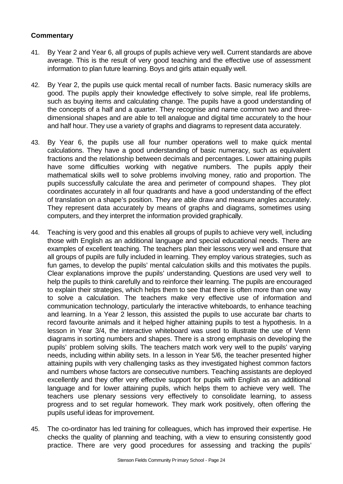- 41. By Year 2 and Year 6, all groups of pupils achieve very well. Current standards are above average. This is the result of very good teaching and the effective use of assessment information to plan future learning. Boys and girls attain equally well.
- 42. By Year 2, the pupils use quick mental recall of number facts. Basic numeracy skills are good. The pupils apply their knowledge effectively to solve simple, real life problems, such as buying items and calculating change. The pupils have a good understanding of the concepts of a half and a quarter. They recognise and name common two and threedimensional shapes and are able to tell analogue and digital time accurately to the hour and half hour. They use a variety of graphs and diagrams to represent data accurately.
- 43. By Year 6, the pupils use all four number operations well to make quick mental calculations. They have a good understanding of basic numeracy, such as equivalent fractions and the relationship between decimals and percentages. Lower attaining pupils have some difficulties working with negative numbers. The pupils apply their mathematical skills well to solve problems involving money, ratio and proportion. The pupils successfully calculate the area and perimeter of compound shapes. They plot coordinates accurately in all four quadrants and have a good understanding of the effect of translation on a shape's position. They are able draw and measure angles accurately. They represent data accurately by means of graphs and diagrams, sometimes using computers, and they interpret the information provided graphically.
- 44. Teaching is very good and this enables all groups of pupils to achieve very well, including those with English as an additional language and special educational needs. There are examples of excellent teaching. The teachers plan their lessons very well and ensure that all groups of pupils are fully included in learning. They employ various strategies, such as fun games, to develop the pupils' mental calculation skills and this motivates the pupils. Clear explanations improve the pupils' understanding. Questions are used very well to help the pupils to think carefully and to reinforce their learning. The pupils are encouraged to explain their strategies, which helps them to see that there is often more than one way to solve a calculation. The teachers make very effective use of information and communication technology, particularly the interactive whiteboards, to enhance teaching and learning. In a Year 2 lesson, this assisted the pupils to use accurate bar charts to record favourite animals and it helped higher attaining pupils to test a hypothesis. In a lesson in Year 3/4, the interactive whiteboard was used to illustrate the use of Venn diagrams in sorting numbers and shapes. There is a strong emphasis on developing the pupils' problem solving skills. The teachers match work very well to the pupils' varying needs, including within ability sets. In a lesson in Year 5/6, the teacher presented higher attaining pupils with very challenging tasks as they investigated highest common factors and numbers whose factors are consecutive numbers. Teaching assistants are deployed excellently and they offer very effective support for pupils with English as an additional language and for lower attaining pupils, which helps them to achieve very well. The teachers use plenary sessions very effectively to consolidate learning, to assess progress and to set regular homework. They mark work positively, often offering the pupils useful ideas for improvement.
- 45. The co-ordinator has led training for colleagues, which has improved their expertise. He checks the quality of planning and teaching, with a view to ensuring consistently good practice. There are very good procedures for assessing and tracking the pupils'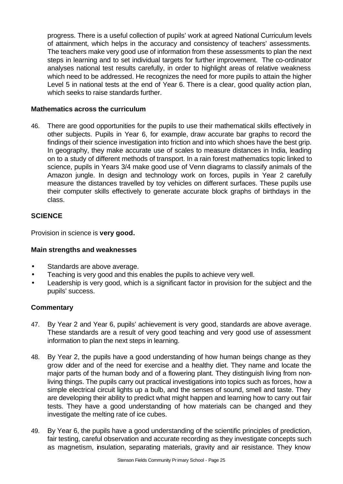progress. There is a useful collection of pupils' work at agreed National Curriculum levels of attainment, which helps in the accuracy and consistency of teachers' assessments. The teachers make very good use of information from these assessments to plan the next steps in learning and to set individual targets for further improvement. The co-ordinator analyses national test results carefully, in order to highlight areas of relative weakness which need to be addressed. He recognizes the need for more pupils to attain the higher Level 5 in national tests at the end of Year 6. There is a clear, good quality action plan, which seeks to raise standards further.

#### **Mathematics across the curriculum**

46. There are good opportunities for the pupils to use their mathematical skills effectively in other subjects. Pupils in Year 6, for example, draw accurate bar graphs to record the findings of their science investigation into friction and into which shoes have the best grip. In geography, they make accurate use of scales to measure distances in India, leading on to a study of different methods of transport. In a rain forest mathematics topic linked to science, pupils in Years 3/4 make good use of Venn diagrams to classify animals of the Amazon jungle. In design and technology work on forces, pupils in Year 2 carefully measure the distances travelled by toy vehicles on different surfaces. These pupils use their computer skills effectively to generate accurate block graphs of birthdays in the class.

## **SCIENCE**

Provision in science is **very good.**

#### **Main strengths and weaknesses**

- Standards are above average.
- Teaching is very good and this enables the pupils to achieve very well.
- Leadership is very good, which is a significant factor in provision for the subject and the pupils' success.

- 47. By Year 2 and Year 6, pupils' achievement is very good, standards are above average. These standards are a result of very good teaching and very good use of assessment information to plan the next steps in learning.
- 48. By Year 2, the pupils have a good understanding of how human beings change as they grow older and of the need for exercise and a healthy diet. They name and locate the major parts of the human body and of a flowering plant. They distinguish living from nonliving things. The pupils carry out practical investigations into topics such as forces, how a simple electrical circuit lights up a bulb, and the senses of sound, smell and taste. They are developing their ability to predict what might happen and learning how to carry out fair tests. They have a good understanding of how materials can be changed and they investigate the melting rate of ice cubes.
- 49. By Year 6, the pupils have a good understanding of the scientific principles of prediction, fair testing, careful observation and accurate recording as they investigate concepts such as magnetism, insulation, separating materials, gravity and air resistance. They know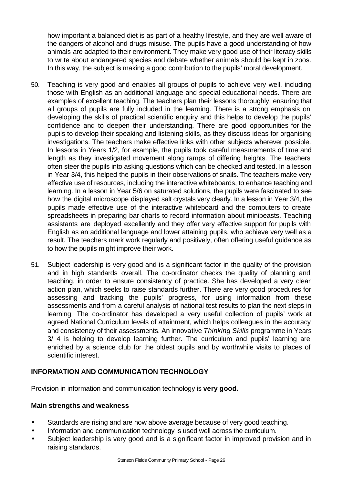how important a balanced diet is as part of a healthy lifestyle, and they are well aware of the dangers of alcohol and drugs misuse. The pupils have a good understanding of how animals are adapted to their environment. They make very good use of their literacy skills to write about endangered species and debate whether animals should be kept in zoos. In this way, the subject is making a good contribution to the pupils' moral development.

- 50. Teaching is very good and enables all groups of pupils to achieve very well, including those with English as an additional language and special educational needs. There are examples of excellent teaching. The teachers plan their lessons thoroughly, ensuring that all groups of pupils are fully included in the learning. There is a strong emphasis on developing the skills of practical scientific enquiry and this helps to develop the pupils' confidence and to deepen their understanding. There are good opportunities for the pupils to develop their speaking and listening skills, as they discuss ideas for organising investigations. The teachers make effective links with other subjects wherever possible. In lessons in Years 1/2, for example, the pupils took careful measurements of time and length as they investigated movement along ramps of differing heights. The teachers often steer the pupils into asking questions which can be checked and tested. In a lesson in Year 3/4, this helped the pupils in their observations of snails. The teachers make very effective use of resources, including the interactive whiteboards, to enhance teaching and learning. In a lesson in Year 5/6 on saturated solutions, the pupils were fascinated to see how the digital microscope displayed salt crystals very clearly. In a lesson in Year 3/4, the pupils made effective use of the interactive whiteboard and the computers to create spreadsheets in preparing bar charts to record information about minibeasts. Teaching assistants are deployed excellently and they offer very effective support for pupils with English as an additional language and lower attaining pupils, who achieve very well as a result. The teachers mark work regularly and positively, often offering useful guidance as to how the pupils might improve their work.
- 51. Subject leadership is very good and is a significant factor in the quality of the provision and in high standards overall. The co-ordinator checks the quality of planning and teaching, in order to ensure consistency of practice. She has developed a very clear action plan, which seeks to raise standards further. There are very good procedures for assessing and tracking the pupils' progress, for using information from these assessments and from a careful analysis of national test results to plan the next steps in learning. The co-ordinator has developed a very useful collection of pupils' work at agreed National Curriculum levels of attainment, which helps colleagues in the accuracy and consistency of their assessments. An innovative *Thinking Skills* programme in Years 3/ 4 is helping to develop learning further. The curriculum and pupils' learning are enriched by a science club for the oldest pupils and by worthwhile visits to places of scientific interest.

#### **INFORMATION AND COMMUNICATION TECHNOLOGY**

Provision in information and communication technology is **very good.**

#### **Main strengths and weakness**

- Standards are rising and are now above average because of very good teaching.
- Information and communication technology is used well across the curriculum.
- Subject leadership is very good and is a significant factor in improved provision and in raising standards.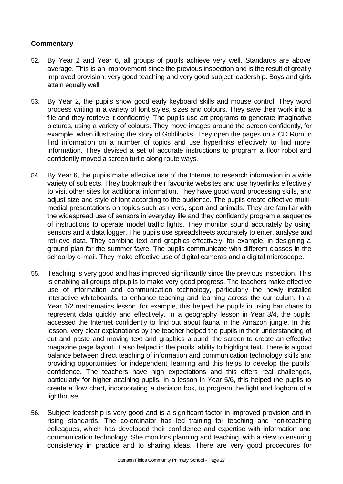- 52. By Year 2 and Year 6, all groups of pupils achieve very well. Standards are above average. This is an improvement since the previous inspection and is the result of greatly improved provision, very good teaching and very good subject leadership. Boys and girls attain equally well.
- 53. By Year 2, the pupils show good early keyboard skills and mouse control. They word process writing in a variety of font styles, sizes and colours. They save their work into a file and they retrieve it confidently. The pupils use art programs to generate imaginative pictures, using a variety of colours. They move images around the screen confidently, for example, when illustrating the story of Goldilocks. They open the pages on a CD Rom to find information on a number of topics and use hyperlinks effectively to find more information. They devised a set of accurate instructions to program a floor robot and confidently moved a screen turtle along route ways.
- 54. By Year 6, the pupils make effective use of the Internet to research information in a wide variety of subjects. They bookmark their favourite websites and use hyperlinks effectively to visit other sites for additional information. They have good word processing skills, and adjust size and style of font according to the audience. The pupils create effective multimedial presentations on topics such as rivers, sport and animals. They are familiar with the widespread use of sensors in everyday life and they confidently program a sequence of instructions to operate model traffic lights. They monitor sound accurately by using sensors and a data logger. The pupils use spreadsheets accurately to enter, analyse and retrieve data. They combine text and graphics effectively, for example, in designing a ground plan for the summer fayre. The pupils communicate with different classes in the school by e-mail. They make effective use of digital cameras and a digital microscope.
- 55. Teaching is very good and has improved significantly since the previous inspection. This is enabling all groups of pupils to make very good progress. The teachers make effective use of information and communication technology, particularly the newly installed interactive whiteboards, to enhance teaching and learning across the curriculum. In a Year 1/2 mathematics lesson, for example, this helped the pupils in using bar charts to represent data quickly and effectively. In a geography lesson in Year 3/4, the pupils accessed the Internet confidently to find out about fauna in the Amazon jungle. In this lesson, very clear explanations by the teacher helped the pupils in their understanding of cut and paste and moving text and graphics around the screen to create an effective magazine page layout. It also helped in the pupils' ability to highlight text. There is a good balance between direct teaching of information and communication technology skills and providing opportunities for independent learning and this helps to develop the pupils' confidence. The teachers have high expectations and this offers real challenges, particularly for higher attaining pupils. In a lesson in Year 5/6, this helped the pupils to create a flow chart, incorporating a decision box, to program the light and foghorn of a lighthouse.
- 56. Subject leadership is very good and is a significant factor in improved provision and in rising standards. The co-ordinator has led training for teaching and non-teaching colleagues, which has developed their confidence and expertise with information and communication technology. She monitors planning and teaching, with a view to ensuring consistency in practice and to sharing ideas. There are very good procedures for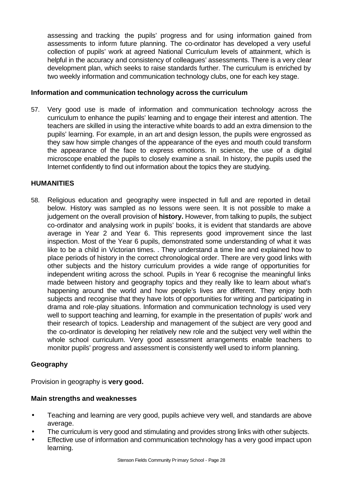assessing and tracking the pupils' progress and for using information gained from assessments to inform future planning. The co-ordinator has developed a very useful collection of pupils' work at agreed National Curriculum levels of attainment, which is helpful in the accuracy and consistency of colleagues' assessments. There is a very clear development plan, which seeks to raise standards further. The curriculum is enriched by two weekly information and communication technology clubs, one for each key stage.

#### **Information and communication technology across the curriculum**

57. Very good use is made of information and communication technology across the curriculum to enhance the pupils' learning and to engage their interest and attention. The teachers are skilled in using the interactive white boards to add an extra dimension to the pupils' learning. For example, in an art and design lesson, the pupils were engrossed as they saw how simple changes of the appearance of the eyes and mouth could transform the appearance of the face to express emotions. In science, the use of a digital microscope enabled the pupils to closely examine a snail. In history, the pupils used the Internet confidently to find out information about the topics they are studying.

#### **HUMANITIES**

58. Religious education and geography were inspected in full and are reported in detail below. History was sampled as no lessons were seen. It is not possible to make a judgement on the overall provision of **history.** However, from talking to pupils, the subject co-ordinator and analysing work in pupils' books, it is evident that standards are above average in Year 2 and Year 6. This represents good improvement since the last inspection. Most of the Year 6 pupils, demonstrated some understanding of what it was like to be a child in Victorian times. . They understand a time line and explained how to place periods of history in the correct chronological order. There are very good links with other subjects and the history curriculum provides a wide range of opportunities for independent writing across the school. Pupils in Year 6 recognise the meaningful links made between history and geography topics and they really like to learn about what's happening around the world and how people's lives are different. They enjoy both subjects and recognise that they have lots of opportunities for writing and participating in drama and role-play situations. Information and communication technology is used very well to support teaching and learning, for example in the presentation of pupils' work and their research of topics. Leadership and management of the subject are very good and the co-ordinator is developing her relatively new role and the subject very well within the whole school curriculum. Very good assessment arrangements enable teachers to monitor pupils' progress and assessment is consistently well used to inform planning.

#### **Geography**

Provision in geography is **very good.**

#### **Main strengths and weaknesses**

- Teaching and learning are very good, pupils achieve very well, and standards are above average.
- The curriculum is very good and stimulating and provides strong links with other subjects.
- Effective use of information and communication technology has a very good impact upon learning.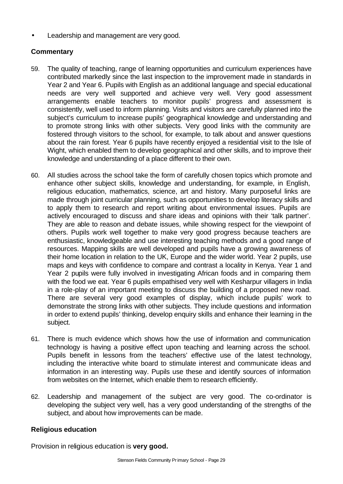• Leadership and management are very good.

## **Commentary**

- 59. The quality of teaching, range of learning opportunities and curriculum experiences have contributed markedly since the last inspection to the improvement made in standards in Year 2 and Year 6. Pupils with English as an additional language and special educational needs are very well supported and achieve very well. Very good assessment arrangements enable teachers to monitor pupils' progress and assessment is consistently, well used to inform planning. Visits and visitors are carefully planned into the subject's curriculum to increase pupils' geographical knowledge and understanding and to promote strong links with other subjects. Very good links with the community are fostered through visitors to the school, for example, to talk about and answer questions about the rain forest. Year 6 pupils have recently enjoyed a residential visit to the Isle of Wight, which enabled them to develop geographical and other skills, and to improve their knowledge and understanding of a place different to their own.
- 60. All studies across the school take the form of carefully chosen topics which promote and enhance other subject skills, knowledge and understanding, for example, in English, religious education, mathematics, science, art and history. Many purposeful links are made through joint curricular planning, such as opportunities to develop literacy skills and to apply them to research and report writing about environmental issues. Pupils are actively encouraged to discuss and share ideas and opinions with their 'talk partner'. They are able to reason and debate issues, while showing respect for the viewpoint of others. Pupils work well together to make very good progress because teachers are enthusiastic, knowledgeable and use interesting teaching methods and a good range of resources. Mapping skills are well developed and pupils have a growing awareness of their home location in relation to the UK, Europe and the wider world. Year 2 pupils, use maps and keys with confidence to compare and contrast a locality in Kenya. Year 1 and Year 2 pupils were fully involved in investigating African foods and in comparing them with the food we eat. Year 6 pupils empathised very well with Kesharpur villagers in India in a role-play of an important meeting to discuss the building of a proposed new road. There are several very good examples of display, which include pupils' work to demonstrate the strong links with other subjects. They include questions and information in order to extend pupils' thinking, develop enquiry skills and enhance their learning in the subject.
- 61. There is much evidence which shows how the use of information and communication technology is having a positive effect upon teaching and learning across the school. Pupils benefit in lessons from the teachers' effective use of the latest technology, including the interactive white board to stimulate interest and communicate ideas and information in an interesting way. Pupils use these and identify sources of information from websites on the Internet, which enable them to research efficiently.
- 62. Leadership and management of the subject are very good. The co-ordinator is developing the subject very well, has a very good understanding of the strengths of the subject, and about how improvements can be made.

## **Religious education**

Provision in religious education is **very good.**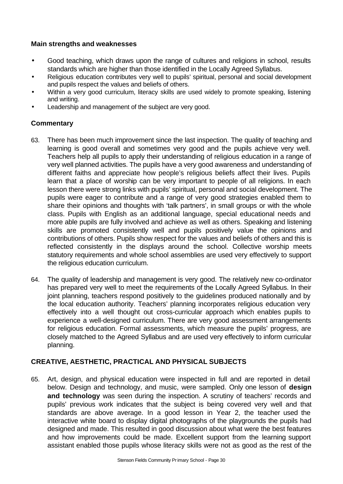## **Main strengths and weaknesses**

- Good teaching, which draws upon the range of cultures and religions in school, results standards which are higher than those identified in the Locally Agreed Syllabus.
- Religious education contributes very well to pupils' spiritual, personal and social development and pupils respect the values and beliefs of others.
- Within a very good curriculum, literacy skills are used widely to promote speaking, listening and writing.
- Leadership and management of the subject are very good.

## **Commentary**

- 63. There has been much improvement since the last inspection. The quality of teaching and learning is good overall and sometimes very good and the pupils achieve very well. Teachers help all pupils to apply their understanding of religious education in a range of very well planned activities. The pupils have a very good awareness and understanding of different faiths and appreciate how people's religious beliefs affect their lives. Pupils learn that a place of worship can be very important to people of all religions. In each lesson there were strong links with pupils' spiritual, personal and social development. The pupils were eager to contribute and a range of very good strategies enabled them to share their opinions and thoughts with 'talk partners', in small groups or with the whole class. Pupils with English as an additional language, special educational needs and more able pupils are fully involved and achieve as well as others. Speaking and listening skills are promoted consistently well and pupils positively value the opinions and contributions of others. Pupils show respect for the values and beliefs of others and this is reflected consistently in the displays around the school. Collective worship meets statutory requirements and whole school assemblies are used very effectively to support the religious education curriculum.
- 64. The quality of leadership and management is very good. The relatively new co-ordinator has prepared very well to meet the requirements of the Locally Agreed Syllabus. In their joint planning, teachers respond positively to the guidelines produced nationally and by the local education authority. Teachers' planning incorporates religious education very effectively into a well thought out cross-curricular approach which enables pupils to experience a well-designed curriculum. There are very good assessment arrangements for religious education. Formal assessments, which measure the pupils' progress, are closely matched to the Agreed Syllabus and are used very effectively to inform curricular planning.

## **CREATIVE, AESTHETIC, PRACTICAL AND PHYSICAL SUBJECTS**

65. Art, design, and physical education were inspected in full and are reported in detail below. Design and technology, and music, were sampled. Only one lesson of **design and technology** was seen during the inspection. A scrutiny of teachers' records and pupils' previous work indicates that the subject is being covered very well and that standards are above average. In a good lesson in Year 2, the teacher used the interactive white board to display digital photographs of the playgrounds the pupils had designed and made. This resulted in good discussion about what were the best features and how improvements could be made. Excellent support from the learning support assistant enabled those pupils whose literacy skills were not as good as the rest of the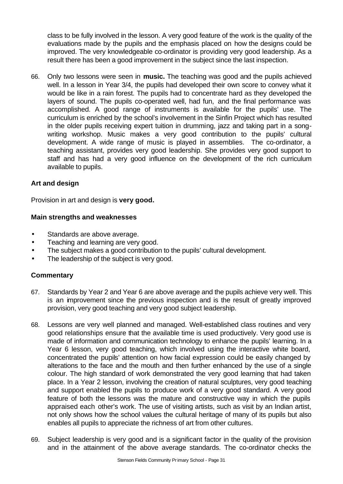class to be fully involved in the lesson. A very good feature of the work is the quality of the evaluations made by the pupils and the emphasis placed on how the designs could be improved. The very knowledgeable co-ordinator is providing very good leadership. As a result there has been a good improvement in the subject since the last inspection.

66. Only two lessons were seen in **music.** The teaching was good and the pupils achieved well. In a lesson in Year 3/4, the pupils had developed their own score to convey what it would be like in a rain forest. The pupils had to concentrate hard as they developed the layers of sound. The pupils co-operated well, had fun, and the final performance was accomplished. A good range of instruments is available for the pupils' use. The curriculum is enriched by the school's involvement in the Sinfin Project which has resulted in the older pupils receiving expert tuition in drumming, jazz and taking part in a songwriting workshop. Music makes a very good contribution to the pupils' cultural development. A wide range of music is played in assemblies. The co-ordinator, a teaching assistant, provides very good leadership. She provides very good support to staff and has had a very good influence on the development of the rich curriculum available to pupils.

#### **Art and design**

Provision in art and design is **very good.**

#### **Main strengths and weaknesses**

- Standards are above average.
- Teaching and learning are very good.
- The subject makes a good contribution to the pupils' cultural development.
- The leadership of the subject is very good.

- 67. Standards by Year 2 and Year 6 are above average and the pupils achieve very well. This is an improvement since the previous inspection and is the result of greatly improved provision, very good teaching and very good subject leadership.
- 68. Lessons are very well planned and managed. Well-established class routines and very good relationships ensure that the available time is used productively. Very good use is made of information and communication technology to enhance the pupils' learning. In a Year 6 lesson, very good teaching, which involved using the interactive white board, concentrated the pupils' attention on how facial expression could be easily changed by alterations to the face and the mouth and then further enhanced by the use of a single colour. The high standard of work demonstrated the very good learning that had taken place. In a Year 2 lesson, involving the creation of natural sculptures, very good teaching and support enabled the pupils to produce work of a very good standard. A very good feature of both the lessons was the mature and constructive way in which the pupils appraised each other's work. The use of visiting artists, such as visit by an Indian artist, not only shows how the school values the cultural heritage of many of its pupils but also enables all pupils to appreciate the richness of art from other cultures.
- 69. Subject leadership is very good and is a significant factor in the quality of the provision and in the attainment of the above average standards. The co-ordinator checks the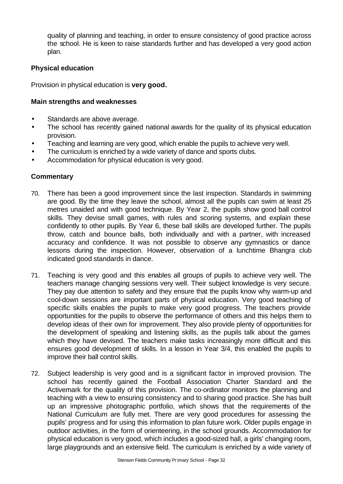quality of planning and teaching, in order to ensure consistency of good practice across the school. He is keen to raise standards further and has developed a very good action plan.

#### **Physical education**

Provision in physical education is **very good.**

#### **Main strengths and weaknesses**

- Standards are above average.
- The school has recently gained national awards for the quality of its physical education provision.
- Teaching and learning are very good, which enable the pupils to achieve very well.
- The curriculum is enriched by a wide variety of dance and sports clubs.
- Accommodation for physical education is very good.

- 70. There has been a good improvement since the last inspection. Standards in swimming are good. By the time they leave the school, almost all the pupils can swim at least 25 metres unaided and with good technique. By Year 2, the pupils show good ball control skills. They devise small games, with rules and scoring systems, and explain these confidently to other pupils. By Year 6, these ball skills are developed further. The pupils throw, catch and bounce balls, both individually and with a partner, with increased accuracy and confidence. It was not possible to observe any gymnastics or dance lessons during the inspection. However, observation of a lunchtime Bhangra club indicated good standards in dance.
- 71. Teaching is very good and this enables all groups of pupils to achieve very well. The teachers manage changing sessions very well. Their subject knowledge is very secure. They pay due attention to safety and they ensure that the pupils know why warm-up and cool-down sessions are important parts of physical education. Very good teaching of specific skills enables the pupils to make very good progress. The teachers provide opportunities for the pupils to observe the performance of others and this helps them to develop ideas of their own for improvement. They also provide plenty of opportunities for the development of speaking and listening skills, as the pupils talk about the games which they have devised. The teachers make tasks increasingly more difficult and this ensures good development of skills. In a lesson in Year 3/4, this enabled the pupils to improve their ball control skills.
- 72. Subject leadership is very good and is a significant factor in improved provision. The school has recently gained the Football Association Charter Standard and the Activemark for the quality of this provision. The co-ordinator monitors the planning and teaching with a view to ensuring consistency and to sharing good practice. She has built up an impressive photographic portfolio, which shows that the requirements of the National Curriculum are fully met. There are very good procedures for assessing the pupils' progress and for using this information to plan future work. Older pupils engage in outdoor activities, in the form of orienteering, in the school grounds. Accommodation for physical education is very good, which includes a good-sized hall, a girls' changing room, large playgrounds and an extensive field. The curriculum is enriched by a wide variety of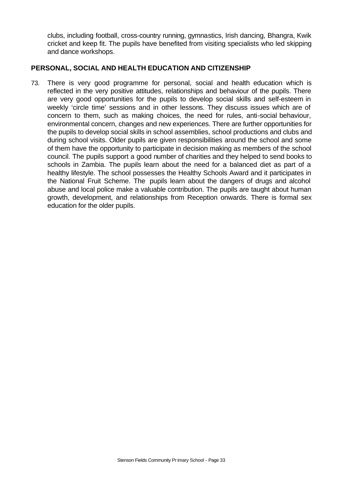clubs, including football, cross-country running, gymnastics, Irish dancing, Bhangra, Kwik cricket and keep fit. The pupils have benefited from visiting specialists who led skipping and dance workshops.

## **PERSONAL, SOCIAL AND HEALTH EDUCATION AND CITIZENSHIP**

73. There is very good programme for personal, social and health education which is reflected in the very positive attitudes, relationships and behaviour of the pupils. There are very good opportunities for the pupils to develop social skills and self-esteem in weekly 'circle time' sessions and in other lessons. They discuss issues which are of concern to them, such as making choices, the need for rules, anti-social behaviour, environmental concern, changes and new experiences. There are further opportunities for the pupils to develop social skills in school assemblies, school productions and clubs and during school visits. Older pupils are given responsibilities around the school and some of them have the opportunity to participate in decision making as members of the school council. The pupils support a good number of charities and they helped to send books to schools in Zambia. The pupils learn about the need for a balanced diet as part of a healthy lifestyle. The school possesses the Healthy Schools Award and it participates in the National Fruit Scheme. The pupils learn about the dangers of drugs and alcohol abuse and local police make a valuable contribution. The pupils are taught about human growth, development, and relationships from Reception onwards. There is formal sex education for the older pupils.